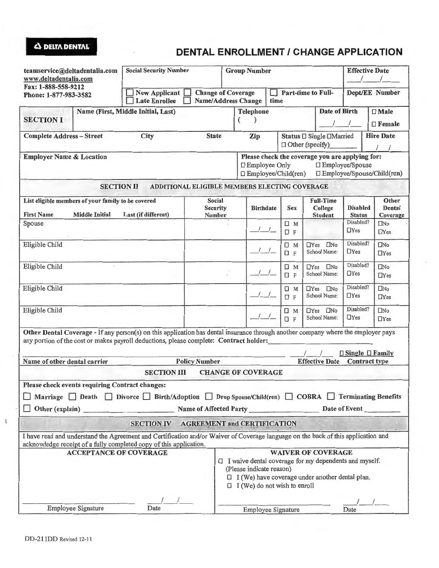## **Q DELTA DENTAL DENTAL ENROLLMENT / CHANGE APPLICATION**

| teamservice@deltadentalia.com<br>www.deltadentalia.com                                                                                                                                                                      | <b>Social Security Number</b>                                                                                                                                                                                                        |                                                                                                                                                                                           | <b>Group Number</b>                                                                                                                              |                                                    |                                            | <b>Effective Date</b><br>$\prime$ |                             |
|-----------------------------------------------------------------------------------------------------------------------------------------------------------------------------------------------------------------------------|--------------------------------------------------------------------------------------------------------------------------------------------------------------------------------------------------------------------------------------|-------------------------------------------------------------------------------------------------------------------------------------------------------------------------------------------|--------------------------------------------------------------------------------------------------------------------------------------------------|----------------------------------------------------|--------------------------------------------|-----------------------------------|-----------------------------|
| Fax: 1-888-558-9212<br>Phone: 1-877-983-3582                                                                                                                                                                                | <b>New Applicant</b><br><b>Change of Coverage</b><br><b>Name/Address Change</b><br><b>Late Enrollee</b>                                                                                                                              |                                                                                                                                                                                           | Part-time to Full-<br>time                                                                                                                       |                                                    |                                            | Dept/EE Number                    |                             |
|                                                                                                                                                                                                                             | Name (First, Middle Initial, Last)                                                                                                                                                                                                   |                                                                                                                                                                                           | <b>Telephone</b>                                                                                                                                 |                                                    | <b>Date of Birth</b>                       |                                   | $\Box$ Male                 |
| <b>SECTION I</b>                                                                                                                                                                                                            |                                                                                                                                                                                                                                      |                                                                                                                                                                                           |                                                                                                                                                  |                                                    |                                            | $\square$ Female                  |                             |
| <b>State</b><br>City<br><b>Complete Address-Street</b>                                                                                                                                                                      |                                                                                                                                                                                                                                      |                                                                                                                                                                                           | Zip                                                                                                                                              | Status □ Single □Married<br>$\Box$ Other (specify) |                                            |                                   | <b>Hire Date</b>            |
| <b>Employer Name &amp; Location</b>                                                                                                                                                                                         |                                                                                                                                                                                                                                      |                                                                                                                                                                                           | Please check the coverage you are applying for:<br>□ Employee/Spouse<br>□ Employee Only<br>□ Employee/Spouse/Child(ren)<br>□ Employee/Child(ren) |                                                    |                                            |                                   |                             |
| <b>SECTION II</b>                                                                                                                                                                                                           |                                                                                                                                                                                                                                      | ADDITIONAL ELIGIBLE MEMBERS ELECTING COVERAGE                                                                                                                                             |                                                                                                                                                  |                                                    |                                            |                                   |                             |
| List eligible members of your family to be covered<br><b>First Name</b><br><b>Middle Initial</b><br>Last (if different)                                                                                                     |                                                                                                                                                                                                                                      | Social<br>Security<br>Number                                                                                                                                                              | <b>Birthdate</b>                                                                                                                                 | <b>Sex</b>                                         | <b>Full-Time</b><br>College<br>Student     | <b>Disabled</b><br><b>Status</b>  | Other<br>Dental<br>Coverage |
| Spouse                                                                                                                                                                                                                      |                                                                                                                                                                                                                                      |                                                                                                                                                                                           |                                                                                                                                                  | $\Box$ M<br>$\square$ F                            |                                            | Disabled?<br>$\Box$ Yes           | $\square$ No<br>$\Box$ Yes  |
| Eligible Child                                                                                                                                                                                                              |                                                                                                                                                                                                                                      |                                                                                                                                                                                           |                                                                                                                                                  | $\Box$ M<br>$\Box$ F                               | $\square$ No<br>$\Box$ Yes<br>School Name: | Disabled?<br>$\Box$ Yes           | $\square$ No<br>$\Box$ Yes  |
| Eligible Child                                                                                                                                                                                                              |                                                                                                                                                                                                                                      |                                                                                                                                                                                           |                                                                                                                                                  | $\Box$ M<br>口 F                                    | $\square$ No<br>$\Box$ Yes<br>School Name: | Disabled?<br>$\Box$ Yes           | $\square$ No<br>$\Box$ Yes  |
| Eligible Child                                                                                                                                                                                                              |                                                                                                                                                                                                                                      |                                                                                                                                                                                           |                                                                                                                                                  | $\Box$ M<br><b>O</b> F                             | <b>TYes INo</b><br>School Name:            | Disabled?<br>$\Box$ Yes           | $\square$ No<br>$\Box$ Yes  |
| Eligible Child                                                                                                                                                                                                              |                                                                                                                                                                                                                                      |                                                                                                                                                                                           |                                                                                                                                                  | $\square$ M<br><b>DF</b>                           | $\square$ No<br>$\Box$ Yes<br>School Name: | Disabled?<br>$\Box$ Yes           | $\square$ No<br>$\Box$ Yes  |
| Other Dental Coverage - If any person(s) on this application has dental insurance through another company where the employer pays<br>any portion of the cost or makes payroll deductions, please complete: Contract holder: |                                                                                                                                                                                                                                      |                                                                                                                                                                                           |                                                                                                                                                  |                                                    |                                            |                                   |                             |
|                                                                                                                                                                                                                             |                                                                                                                                                                                                                                      |                                                                                                                                                                                           |                                                                                                                                                  |                                                    | $\Box$ Single $\Box$ Family                |                                   |                             |
| <b>Policy Number</b><br><b>Effective Date</b><br><b>Contract type</b><br>Name of other dental carrier<br><b>SECTION III</b><br><b>CHANGE OF COVERAGE</b>                                                                    |                                                                                                                                                                                                                                      |                                                                                                                                                                                           |                                                                                                                                                  |                                                    |                                            |                                   |                             |
|                                                                                                                                                                                                                             |                                                                                                                                                                                                                                      |                                                                                                                                                                                           |                                                                                                                                                  |                                                    |                                            |                                   |                             |
| Please check events requiring Contract changes:                                                                                                                                                                             |                                                                                                                                                                                                                                      |                                                                                                                                                                                           |                                                                                                                                                  |                                                    |                                            |                                   |                             |
| Marriage Death Divorce Birth/Adoption Drop Spouse/Child(ren) COBRA Terminating Benefits                                                                                                                                     |                                                                                                                                                                                                                                      |                                                                                                                                                                                           |                                                                                                                                                  |                                                    |                                            |                                   |                             |
| Other (explain)                                                                                                                                                                                                             | <b>Solution Service Service Service Service Service Service Service Service Service Service Service Service Service Service Service Service Service Service Service Service Service Service Service Service Service Service Serv</b> |                                                                                                                                                                                           |                                                                                                                                                  |                                                    |                                            | Date of Event                     |                             |
|                                                                                                                                                                                                                             | SECTION IV AGREEMENT and CERTIFICATION                                                                                                                                                                                               |                                                                                                                                                                                           |                                                                                                                                                  |                                                    |                                            |                                   |                             |
| I have read and understand the Agreement and Certification and/or Waiver of Coverage language on the back of this application and<br>acknowledge receipt of a fully completed copy of this application.                     |                                                                                                                                                                                                                                      |                                                                                                                                                                                           |                                                                                                                                                  |                                                    |                                            |                                   |                             |
| <b>ACCEPTANCE OF COVERAGE</b>                                                                                                                                                                                               |                                                                                                                                                                                                                                      |                                                                                                                                                                                           | <b>WAIVER OF COVERAGE</b>                                                                                                                        |                                                    |                                            |                                   |                             |
|                                                                                                                                                                                                                             |                                                                                                                                                                                                                                      | $\Box$ I waive dental coverage for my dependents and myself.<br>(Please indicate reason)<br>$\Box$ I (We) have coverage under another dental plan.<br>$\Box$ I (We) do not wish to enroll |                                                                                                                                                  |                                                    |                                            |                                   |                             |
|                                                                                                                                                                                                                             |                                                                                                                                                                                                                                      |                                                                                                                                                                                           |                                                                                                                                                  |                                                    |                                            |                                   |                             |
| Employee Signature<br>Date                                                                                                                                                                                                  |                                                                                                                                                                                                                                      |                                                                                                                                                                                           | Employee Signature<br>Date                                                                                                                       |                                                    |                                            |                                   |                             |